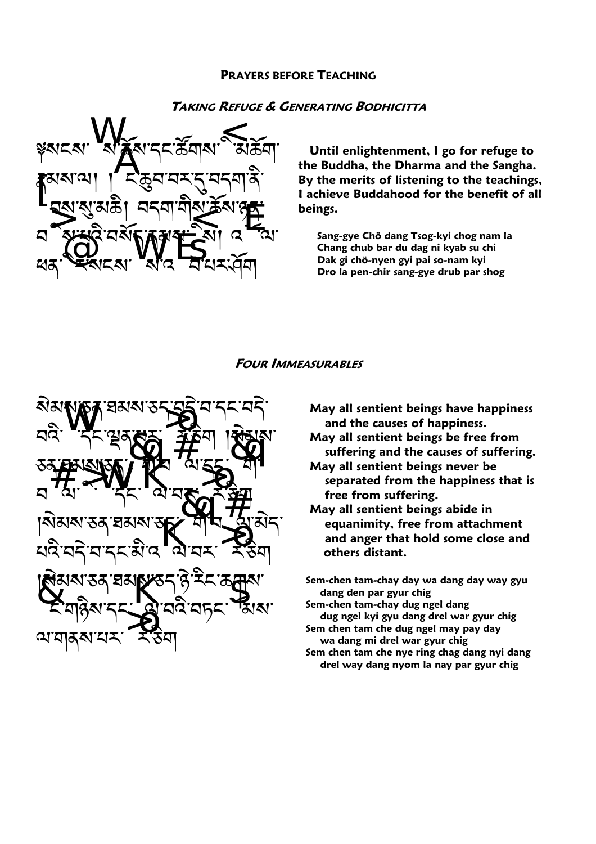### **PRAYERS BEFORE TEACHING**

# **TAKING REFUGE & GENERATING BODHICITTA**



Until enlightenment, I go for refuge to the Buddha, the Dharma and the Sangha. By the merits of listening to the teachings, I achieve Buddahood for the benefit of all beings.

Sang-gye Chö dang Tsog-kyi chog nam la Chang chub bar du dag ni kyab su chi Dak gi chö-nyen gyi pai so-nam kyi Dro la pen-chir sang-gye drub par shog

#### **FOUR IMMEASURABLES**



- May all sentient beings have happiness and the causes of happiness.
- May all sentient beings be free from suffering and the causes of suffering.
- May all sentient beings never be separated from the happiness that is free from suffering.
- May all sentient beings abide in equanimity, free from attachment and anger that hold some close and others distant.
- Sem-chen tam-chay day wa dang day way gyu dang den par gyur chig
- Sem-chen tam-chay dug ngel dang dug ngel kyi gyu dang drel war gyur chig Sem chen tam che dug ngel may pay day
- wa dang mi drel war gyur chig Sem chen tam che nye ring chag dang nyi dang
- drel way dang nyom la nay par gyur chig